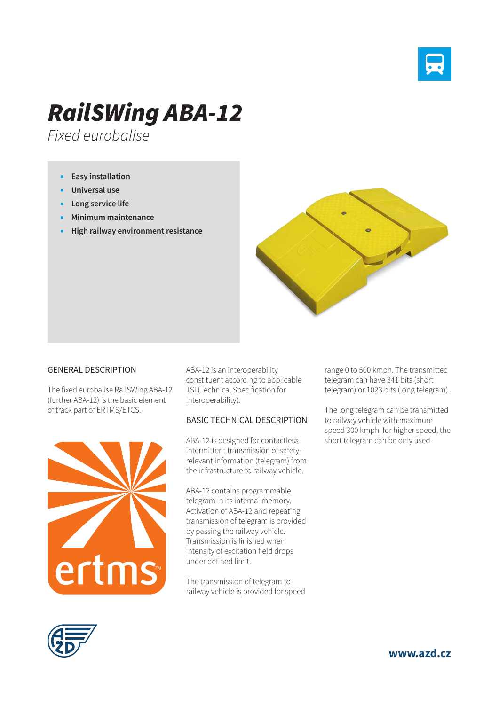

## *RailSWing ABA-12*

*Fixed eurobalise*

- **Easy installation**
- **Universal use**
- **Long service life**
- **Minimum maintenance**
- **High railway environment resistance**



## GENERAL DESCRIPTION

The fixed eurobalise RailSWing ABA-12 (further ABA-12) is the basic element of track part of ERTMS/ETCS.



ABA-12 is an interoperability constituent according to applicable TSI (Technical Specification for Interoperability).

## BASIC TECHNICAL DESCRIPTION

ABA-12 is designed for contactless intermittent transmission of safetyrelevant information (telegram) from the infrastructure to railway vehicle.

ABA-12 contains programmable telegram in its internal memory. Activation of ABA-12 and repeating transmission of telegram is provided by passing the railway vehicle. Transmission is finished when intensity of excitation field drops under defined limit.

The transmission of telegram to railway vehicle is provided for speed range 0 to 500 kmph. The transmitted telegram can have 341 bits (short telegram) or 1023 bits (long telegram).

The long telegram can be transmitted to railway vehicle with maximum speed 300 kmph, for higher speed, the short telegram can be only used.